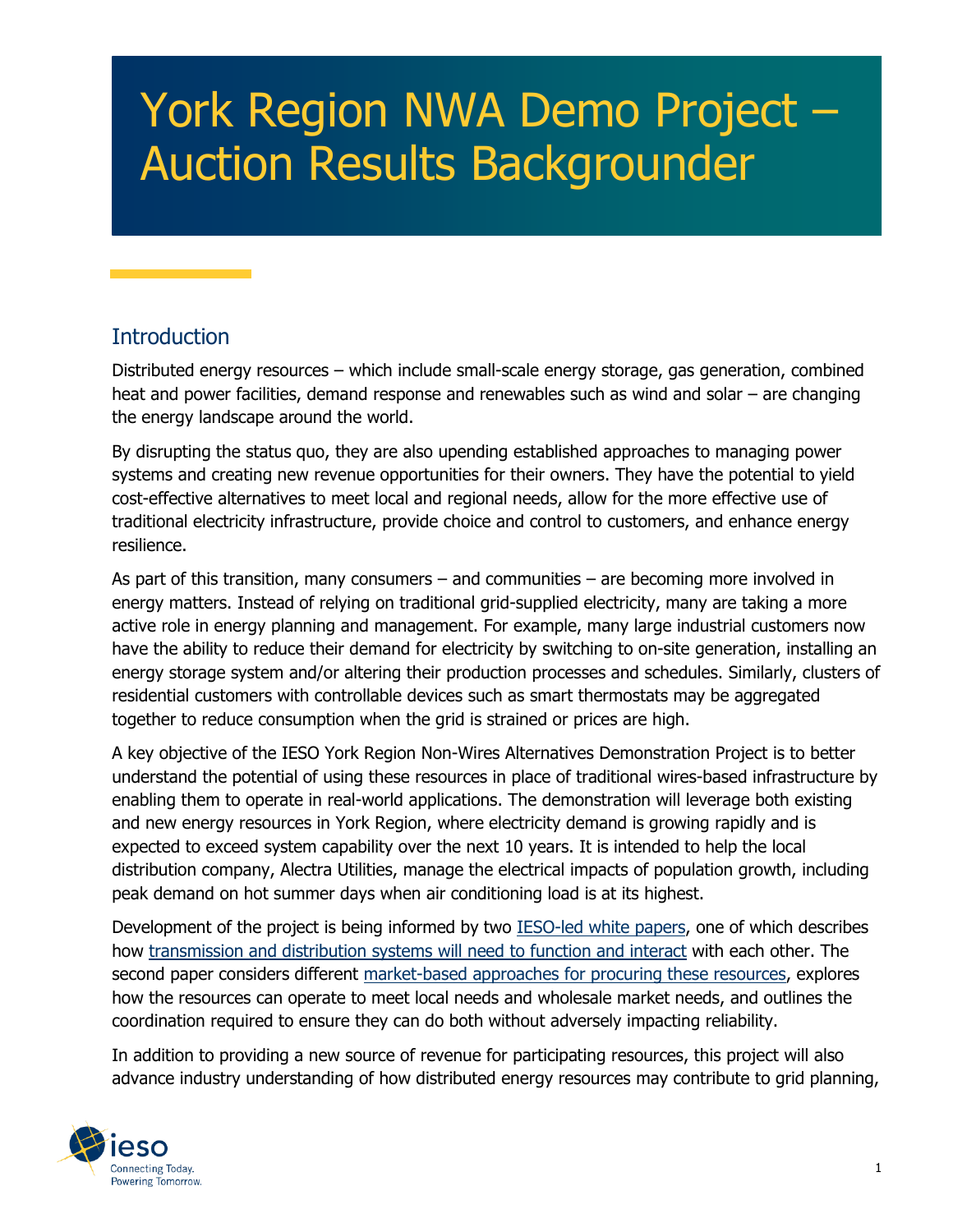# York Region NWA Demo Project – Auction Results Backgrounder

#### **Introduction**

Distributed energy resources – which include small-scale energy storage, gas generation, combined heat and power facilities, demand response and renewables such as wind and solar – are changing the energy landscape around the world.

By disrupting the status quo, they are also upending established approaches to managing power systems and creating new revenue opportunities for their owners. They have the potential to yield cost-effective alternatives to meet local and regional needs, allow for the more effective use of traditional electricity infrastructure, provide choice and control to customers, and enhance energy resilience.

As part of this transition, many consumers – and communities – are becoming more involved in energy matters. Instead of relying on traditional grid-supplied electricity, many are taking a more active role in energy planning and management. For example, many large industrial customers now have the ability to reduce their demand for electricity by switching to on-site generation, installing an energy storage system and/or altering their production processes and schedules. Similarly, clusters of residential customers with controllable devices such as smart thermostats may be aggregated together to reduce consumption when the grid is strained or prices are high.

A key objective of the IESO York Region Non-Wires Alternatives Demonstration Project is to better understand the potential of using these resources in place of traditional wires-based infrastructure by enabling them to operate in real-world applications. The demonstration will leverage both existing and new energy resources in York Region, where electricity demand is growing rapidly and is expected to exceed system capability over the next 10 years. It is intended to help the local distribution company, Alectra Utilities, manage the electrical impacts of population growth, including peak demand on hot summer days when air conditioning load is at its highest.

Development of the project is being informed by two [IESO-led white papers,](https://ieso.ca/en/Get-Involved/Innovation/White-papers) one of which describes how [transmission and distribution systems will need to function and interact](https://ieso.ca/en/Get-Involved/Innovation/Transmission-distribution-interoperability) with each other. The second paper considers different [market-based approaches for procuring these resources,](https://ieso.ca/en/Get-Involved/Innovation/Coordinating-DERs-used-as-non-wires-alternatives) explores how the resources can operate to meet local needs and wholesale market needs, and outlines the coordination required to ensure they can do both without adversely impacting reliability.

In addition to providing a new source of revenue for participating resources, this project will also advance industry understanding of how distributed energy resources may contribute to grid planning,

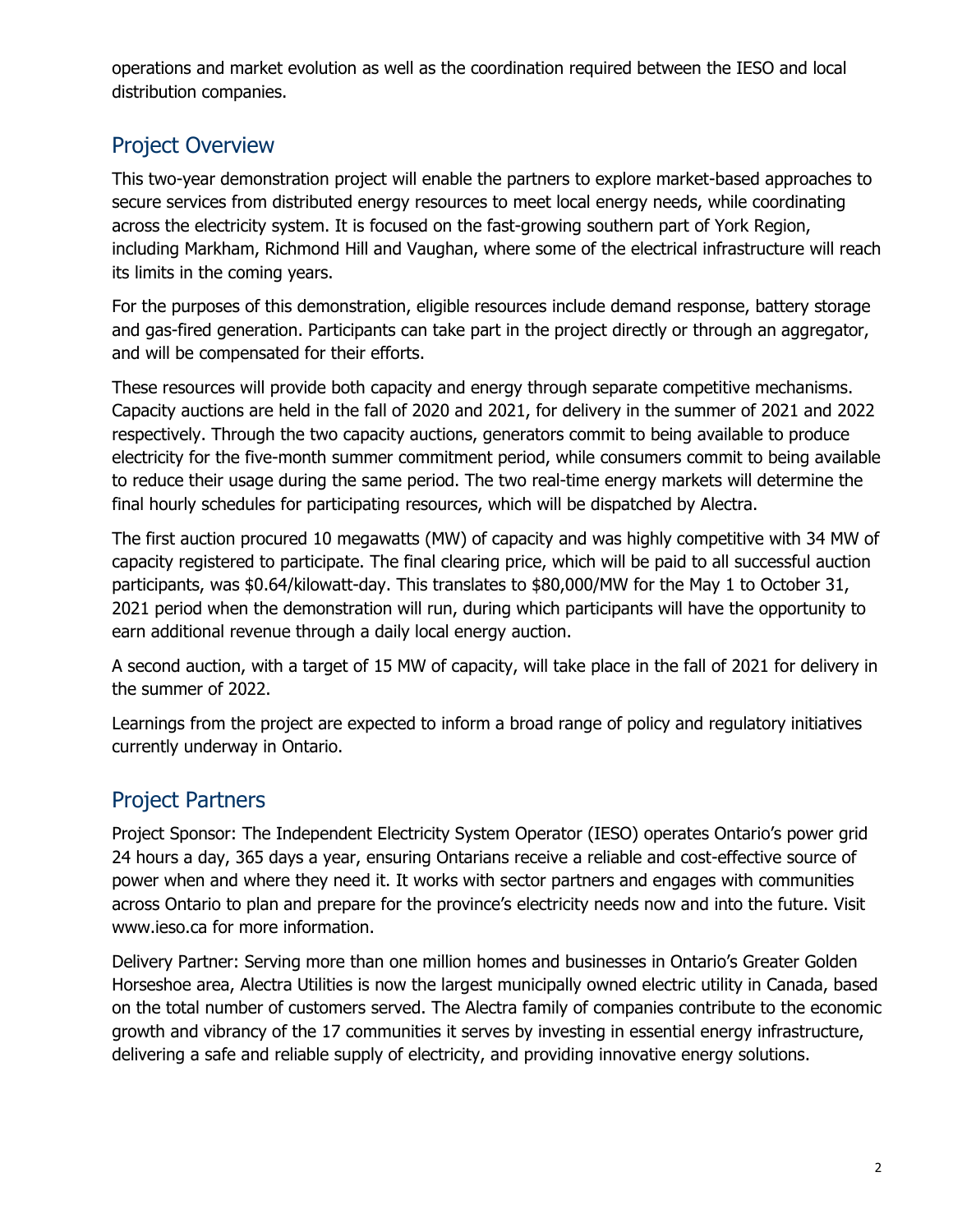operations and market evolution as well as the coordination required between the IESO and local distribution companies.

#### Project Overview

This two-year demonstration project will enable the partners to explore market-based approaches to secure services from distributed energy resources to meet local energy needs, while coordinating across the electricity system. It is focused on the fast-growing southern part of York Region, including Markham, Richmond Hill and Vaughan, where some of the electrical infrastructure will reach its limits in the coming years.

For the purposes of this demonstration, eligible resources include demand response, battery storage and gas-fired generation. Participants can take part in the project directly or through an aggregator, and will be compensated for their efforts.

These resources will provide both capacity and energy through separate competitive mechanisms. Capacity auctions are held in the fall of 2020 and 2021, for delivery in the summer of 2021 and 2022 respectively. Through the two capacity auctions, generators commit to being available to produce electricity for the five-month summer commitment period, while consumers commit to being available to reduce their usage during the same period. The two real-time energy markets will determine the final hourly schedules for participating resources, which will be dispatched by Alectra.

The first auction procured 10 megawatts (MW) of capacity and was highly competitive with 34 MW of capacity registered to participate. The final clearing price, which will be paid to all successful auction participants, was \$0.64/kilowatt-day. This translates to \$80,000/MW for the May 1 to October 31, 2021 period when the demonstration will run, during which participants will have the opportunity to earn additional revenue through a daily local energy auction.

A second auction, with a target of 15 MW of capacity, will take place in the fall of 2021 for delivery in the summer of 2022.

Learnings from the project are expected to inform a broad range of policy and regulatory initiatives currently underway in Ontario.

### Project Partners

Project Sponsor: The Independent Electricity System Operator (IESO) operates Ontario's power grid 24 hours a day, 365 days a year, ensuring Ontarians receive a reliable and cost-effective source of power when and where they need it. It works with sector partners and engages with communities across Ontario to plan and prepare for the province's electricity needs now and into the future. Visit www.ieso.ca for more information.

Delivery Partner: Serving more than one million homes and businesses in Ontario's Greater Golden Horseshoe area, Alectra Utilities is now the largest municipally owned electric utility in Canada, based on the total number of customers served. The Alectra family of companies contribute to the economic growth and vibrancy of the 17 communities it serves by investing in essential energy infrastructure, delivering a safe and reliable supply of electricity, and providing innovative energy solutions.